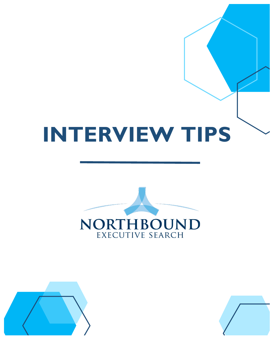



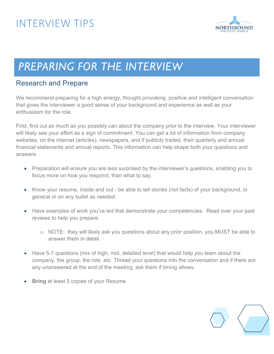

# *PREPARING FOR THE INTERVIEW*

### Research and Prepare

We recommend preparing for a high energy, thought provoking, positive and intelligent conversation that gives the interviewer a good sense of your background and experience as well as your enthusiasm for the role.

First, find out as much as you possibly can about the company prior to the interview. Your interviewer will likely see your effort as a sign of commitment. You can get a lot of information from company websites, on the internet (articles), newspapers, and if publicly traded, their quarterly and annual financial statements and annual reports. This information can help shape both your questions and answers.

- Preparation will ensure you are less surprised by the interviewer's questions, enabling you to focus more on how you respond, than what to say.
- Know your resume, inside and out be able to tell stories (not facts) of your background, in general or on any bullet as needed.
- Have examples of work you've led that demonstrate your competencies. Read over your past reviews to help you prepare.
	- o NOTE: they will likely ask you questions about any prior position, you MUST be able to answer them in detail.
- Have 5-7 questions (mix of high, mid, detailed level) that would help you learn about the company, the group, the role, etc. Thread your questions into the conversation and if there are any unanswered at the end of the meeting, ask them if timing allows.
- **Bring** at least 3 copies of your Resume

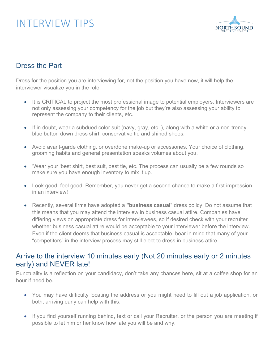

### Dress the Part

Dress for the position you are interviewing for, not the position you have now, it will help the interviewer visualize you in the role.

- It is CRITICAL to project the most professional image to potential employers. Interviewers are not only assessing your competency for the job but they're also assessing your ability to represent the company to their clients, etc.
- If in doubt, wear a subdued color suit (navy, gray, etc..), along with a white or a non-trendy blue button down dress shirt, conservative tie and shined shoes.
- Avoid avant-garde clothing, or overdone make-up or accessories. Your choice of clothing, grooming habits and general presentation speaks volumes about you.
- 'Wear your 'best shirt, best suit, best tie, etc. The process can usually be a few rounds so make sure you have enough inventory to mix it up.
- Look good, feel good. Remember, you never get a second chance to make a first impression in an interview!
- Recently, several firms have adopted a **"business casual**" dress policy. Do not assume that this means that you may attend the interview in business casual attire. Companies have differing views on appropriate dress for interviewees, so if desired check with your recruiter whether business casual attire would be acceptable to your interviewer before the interview. Even if the client deems that business casual is acceptable, bear in mind that many of your "competitors" in the interview process may still elect to dress in business attire.

### Arrive to the interview 10 minutes early (Not 20 minutes early or 2 minutes early) and NEVER late!

Punctuality is a reflection on your candidacy, don't take any chances here, sit at a coffee shop for an hour if need be.

- You may have difficulty locating the address or you might need to fill out a job application, or both, arriving early can help with this.
- If you find yourself running behind, text or call your Recruiter, or the person you are meeting if possible to let him or her know how late you will be and why.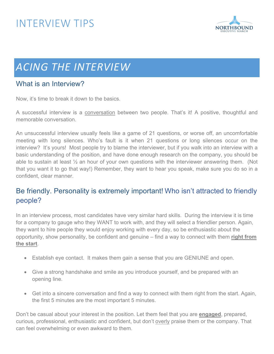

# **ACING THE INTERVIEW**

### What is an Interview?

Now, it's time to break it down to the basics.

A successful interview is a conversation between two people. That's it! A positive, thoughtful and memorable conversation.

An unsuccessful interview usually feels like a game of 21 questions, or worse off, an uncomfortable meeting with long silences. Who's fault is it when 21 questions or long silences occur on the interview? It's yours! Most people try to blame the interviewer, but if you walk into an interview with a basic understanding of the position, and have done enough research on the company, you should be able to sustain at least  $\frac{1}{2}$  an hour of your own questions with the interviewer answering them. (Not that you want it to go that way!) Remember, they want to hear you speak, make sure you do so in a confident, clear manner.

### Be friendly. Personality is extremely important! Who isn't attracted to friendly people?

In an interview process, most candidates have very similar hard skills. During the interview it is time for a company to gauge who they WANT to work with, and they will select a friendlier person. Again, they want to hire people they would enjoy working with every day, so be enthusiastic about the opportunity, show personality, be confident and genuine – find a way to connect with them **right from the start**.

- Establish eye contact. It makes them gain a sense that you are GENIUNE and open.
- Give a strong handshake and smile as you introduce yourself, and be prepared with an opening line.
- Get into a sincere conversation and find a way to connect with them right from the start. Again, the first 5 minutes are the most important 5 minutes.

Don't be casual about your interest in the position. Let them feel that you are **engaged**, prepared, curious, professional, enthusiastic and confident, but don't overly praise them or the company. That can feel overwhelming or even awkward to them.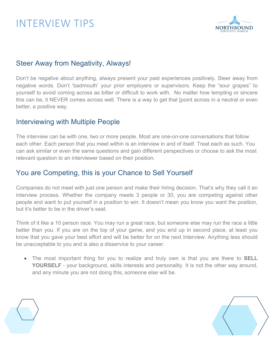

### Steer Away from Negativity, Always!

Don't be negative about anything, always present your past experiences positively. Steer away from negative words. Don't 'badmouth' your prior employers or supervisors. Keep the "sour grapes" to yourself to avoid coming across as bitter or difficult to work with. No matter how tempting or sincere this can be, it NEVER comes across well. There is a way to get that [point across in a neutral or even better, a positive way.

### Interviewing with Multiple People

The interview can be with one, two or more people. Most are one-on-one conversations that follow each other. Each person that you meet within is an interview in and of itself. Treat each as such. You can ask similar or even the same questions and gain different perspectives or choose to ask the most relevant question to an interviewer based on their position.

### You are Competing, this is your Chance to Sell Yourself

Companies do not meet with just one person and make their hiring decision. That's why they call it an interview process. Whether the company meets 3 people or 30, you are competing against other people and want to put yourself in a position to win. It doesn't mean you know you want the position, but it's better to be in the driver's seat.

Think of it like a 10 person race. You may run a great race, but someone else may run the race a little better than you. If you are on the top of your game, and you end up in second place, at least you know that you gave your best effort and will be better for on the next Interview. Anything less should be unacceptable to you and is also a disservice to your career.

• The most important thing for you to realize and truly own is that you are there to **SELL YOURSELF** - your background, skills interests and personality. It is not the other way around, and any minute you are not doing this, someone else will be.

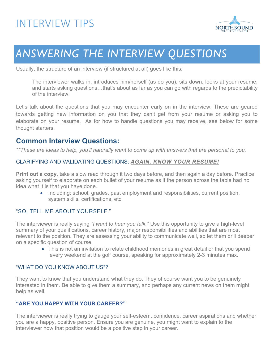

# *ANSWERING THE INTERVIEW QUESTIONS*

Usually, the structure of an interview (if structured at all) goes like this:

The interviewer walks in, introduces him/herself (as do you), sits down, looks at your resume, and starts asking questions…that's about as far as you can go with regards to the predictability of the interview.

Let's talk about the questions that you may encounter early on in the interview. These are geared towards getting new information on you that they can't get from your resume or asking you to elaborate on your resume. As for how to handle questions you may receive, see below for some thought starters.

### **Common Interview Questions:**

*\*\*These are ideas to help, you'll naturally want to come up with answers that are personal to you.*

#### CLARIFYING AND VALIDATING QUESTIONS: *AGAIN, KNOW YOUR RESUME!*

**Print out a copy**, take a slow read through it two days before, and then again a day before. Practice asking yourself to elaborate on each bullet of your resume as if the person across the table had no idea what it is that you have done.

• Including: school, grades, past employment and responsibilities, current position, system skills, certifications, etc.

#### "SO, TELL ME ABOUT YOURSELF."

The interviewer is really saying *"I want to hear you talk."* Use this opportunity to give a high-level summary of your qualifications, career history, major responsibilities and abilities that are most relevant to the position. They are assessing your ability to communicate well, so let them drill deeper on a specific question of course.

> • This is not an invitation to relate childhood memories in great detail or that you spend every weekend at the golf course, speaking for approximately 2-3 minutes max.

#### "WHAT DO YOU KNOW ABOUT US"?

They want to know that you understand what they do. They of course want you to be genuinely interested in them. Be able to give them a summary, and perhaps any current news on them might help as well.

#### **"ARE YOU HAPPY WITH YOUR CAREER?"**

The interviewer is really trying to gauge your self-esteem, confidence, career aspirations and whether you are a happy, positive person. Ensure you are genuine, you might want to explain to the interviewer how that position would be a positive step in your career.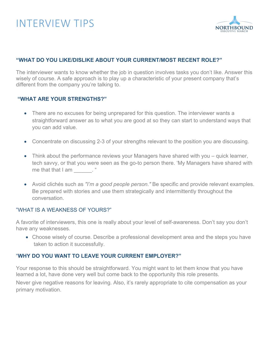

#### **"WHAT DO YOU LIKE/DISLIKE ABOUT YOUR CURRENT/MOST RECENT ROLE?"**

The interviewer wants to know whether the job in question involves tasks you don't like. Answer this wisely of course. A safe approach is to play up a characteristic of your present company that's different from the company you're talking to.

#### **"WHAT ARE YOUR STRENGTHS?"**

- There are no excuses for being unprepared for this question. The interviewer wants a straightforward answer as to what you are good at so they can start to understand ways that you can add value.
- Concentrate on discussing 2-3 of your strengths relevant to the position you are discussing.
- Think about the performance reviews your Managers have shared with you quick learner, tech savvy, or that you were seen as the go-to person there. 'My Managers have shared with me that that  $I$  am  $\qquad$ . "
- Avoid clichés such as *"I'm a good people person."* Be specific and provide relevant examples. Be prepared with stories and use them strategically and intermittently throughout the conversation.

#### "WHAT IS A WEAKNESS OF YOURS?"

A favorite of interviewers, this one is really about your level of self-awareness. Don't say you don't have any weaknesses.

• Choose wisely of course. Describe a professional development area and the steps you have taken to action it successfully.

#### "**WHY DO YOU WANT TO LEAVE YOUR CURRENT EMPLOYER?"**

Your response to this should be straightforward. You might want to let them know that you have learned a lot, have done very well but come back to the opportunity this role presents.

Never give negative reasons for leaving. Also, it's rarely appropriate to cite compensation as your primary motivation.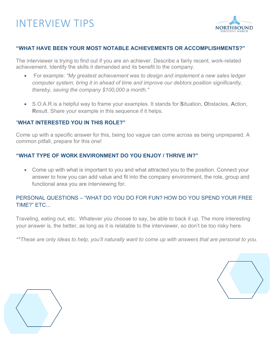

#### **"WHAT HAVE BEEN YOUR MOST NOTABLE ACHIEVEMENTS OR ACCOMPLISHMENTS?"**

The interviewer is trying to find out if you are an achiever. Describe a fairly recent, work-related achievement. Identify the skills it demanded and its benefit to the company.

- For example: *"My greatest achievement was to design and implement a new sales ledger computer system, bring it in ahead of time and improve our debtors position significantly, thereby, saving the company \$100,000 a month."*
- S.O.A.R is a helpful way to frame your examples. It stands for **S**ituation, **O**bstacles, **A**ction, **R**esult. Share your example in this sequence if it helps.

#### "**WHAT INTERESTED YOU IN THIS ROLE?"**

Come up with a specific answer for this, being too vague can come across as being unprepared. A common pitfall, prepare for this one!

#### **"WHAT TYPE OF WORK ENVIRONMENT DO YOU ENJOY / THRIVE IN?"**

• Come up with what is important to you and what attracted you to the position. Connect your answer to how you can add value and fit into the company environment, the role, group and functional area you are interviewing for.

#### PERSONAL QUESTIONS – "WHAT DO YOU DO FOR FUN? HOW DO YOU SPEND YOUR FREE TIME?" ETC...

Traveling, eating out, etc. Whatever you choose to say, be able to back it up. The more interesting your answer is, the better, as long as it is relatable to the interviewer, so don't be too risky here.

*\*\*These are only ideas to help, you'll naturally want to come up with answers that are personal to you.*



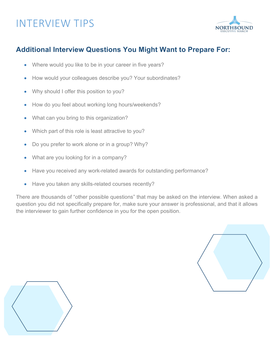

### **Additional Interview Questions You Might Want to Prepare For:**

- Where would you like to be in your career in five years?
- How would your colleagues describe you? Your subordinates?
- Why should I offer this position to you?
- How do you feel about working long hours/weekends?
- What can you bring to this organization?
- Which part of this role is least attractive to you?
- Do you prefer to work alone or in a group? Why?
- What are you looking for in a company?
- Have you received any work-related awards for outstanding performance?
- Have you taken any skills-related courses recently?

There are thousands of "other possible questions" that may be asked on the interview. When asked a question you did not specifically prepare for, make sure your answer is professional, and that it allows the interviewer to gain further confidence in you for the open position.



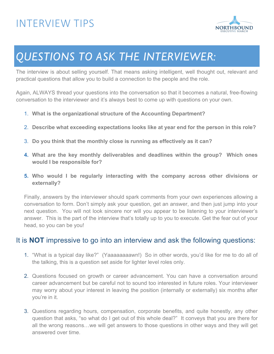

# *QUESTIONS TO ASK THE INTERVIEWER:*

The interview is about selling yourself. That means asking intelligent, well thought out, relevant and practical questions that allow you to build a connection to the people and the role.

Again, ALWAYS thread your questions into the conversation so that it becomes a natural, free-flowing conversation to the interviewer and it's always best to come up with questions on your own.

- 1. **What is the organizational structure of the Accounting Department?**
- 2. **Describe what exceeding expectations looks like at year end for the person in this role?**
- 3. **Do you think that the monthly close is running as effectively as it can?**
- **4. What are the key monthly deliverables and deadlines within the group? Which ones would I be responsible for?**
- **5. Who would I be regularly interacting with the company across other divisions or externally?**

Finally, answers by the interviewer should spark comments from your own experiences allowing a conversation to form. Don't simply ask your question, get an answer, and then just jump into your next question. You will not look sincere nor will you appear to be listening to your interviewer's answer. This is the part of the interview that's totally up to you to execute. Get the fear out of your head, so you can be you!

### It is **NOT** impressive to go into an interview and ask the following questions:

- 1. "What is a typical day like?" (Yaaaaaaaawn!) So in other words, you'd like for me to do all of the talking, this is a question set aside for lighter level roles only.
- 2. Questions focused on growth or career advancement. You can have a conversation around career advancement but be careful not to sound too interested in future roles. Your interviewer may worry about your interest in leaving the position (internally or externally) six months after you're in it.
- 3. Questions regarding hours, compensation, corporate benefits, and quite honestly, any other question that asks, "so what do I get out of this whole deal?" It conveys that you are there for all the wrong reasons…we will get answers to those questions in other ways and they will get answered over time.